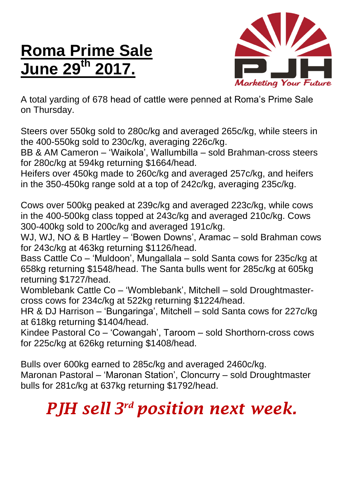## **Roma Prime Sale June 29th 2017.**



A total yarding of 678 head of cattle were penned at Roma's Prime Sale on Thursday.

Steers over 550kg sold to 280c/kg and averaged 265c/kg, while steers in the 400-550kg sold to 230c/kg, averaging 226c/kg.

BB & AM Cameron – 'Waikola', Wallumbilla – sold Brahman-cross steers for 280c/kg at 594kg returning \$1664/head.

Heifers over 450kg made to 260c/kg and averaged 257c/kg, and heifers in the 350-450kg range sold at a top of 242c/kg, averaging 235c/kg.

Cows over 500kg peaked at 239c/kg and averaged 223c/kg, while cows in the 400-500kg class topped at 243c/kg and averaged 210c/kg. Cows 300-400kg sold to 200c/kg and averaged 191c/kg.

WJ, WJ, NO & B Hartley – 'Bowen Downs', Aramac – sold Brahman cows for 243c/kg at 463kg returning \$1126/head.

Bass Cattle Co – 'Muldoon', Mungallala – sold Santa cows for 235c/kg at 658kg returning \$1548/head. The Santa bulls went for 285c/kg at 605kg returning \$1727/head.

Womblebank Cattle Co – 'Womblebank', Mitchell – sold Droughtmastercross cows for 234c/kg at 522kg returning \$1224/head.

HR & DJ Harrison – 'Bungaringa', Mitchell – sold Santa cows for 227c/kg at 618kg returning \$1404/head.

Kindee Pastoral Co – 'Cowangah', Taroom – sold Shorthorn-cross cows for 225c/kg at 626kg returning \$1408/head.

Bulls over 600kg earned to 285c/kg and averaged 2460c/kg. Maronan Pastoral – 'Maronan Station', Cloncurry – sold Droughtmaster bulls for 281c/kg at 637kg returning \$1792/head.

## *PJH sell 3 rd position next week.*